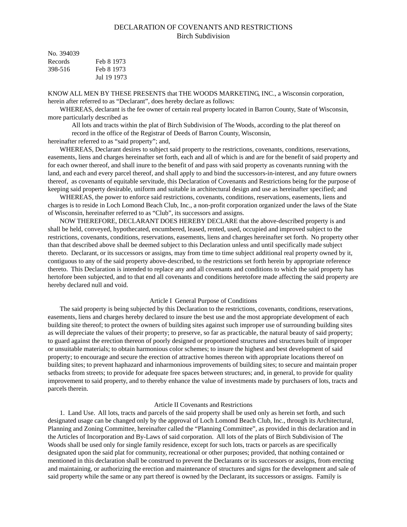# DECLARATION OF COVENANTS AND RESTRICTIONS Birch Subdivision

| No. 394039 |             |
|------------|-------------|
| Records    | Feb 8 1973  |
| 398-516    | Feb 8 1973  |
|            | Jul 19 1973 |

KNOW ALL MEN BY THESE PRESENTS that THE WOODS MARKETING, INC., a Wisconsin corporation, herein after referred to as "Declarant", does hereby declare as follows:

WHEREAS, declarant is the fee owner of certain real property located in Barron County, State of Wisconsin, more particularly described as

All lots and tracts within the plat of Birch Subdivision of The Woods, according to the plat thereof on record in the office of the Registrar of Deeds of Barron County, Wisconsin,

hereinafter referred to as "said property"; and,

WHEREAS, Declarant desires to subject said property to the restrictions, covenants, conditions, reservations, easements, liens and charges hereinafter set forth, each and all of which is and are for the benefit of said property and for each owner thereof, and shall inure to the benefit of and pass with said property as covenants running with the land, and each and every parcel thereof, and shall apply to and bind the successors-in-interest, and any future owners thereof, as covenants of equitable servitude, this Declaration of Covenants and Restrictions being for the purpose of keeping said property desirable, uniform and suitable in architectural design and use as hereinafter specified; and

WHEREAS, the power to enforce said restrictions, covenants, conditions, reservations, easements, liens and charges is to reside in Loch Lomond Beach Club, Inc., a non-profit corporation organized under the laws of the State of Wisconsin, hereinafter referred to as "Club", its successors and assigns.

NOW THEREFORE, DECLARANT DOES HEREBY DECLARE that the above-described property is and shall be held, conveyed, hypothecated, encumbered, leased, rented, used, occupied and improved subject to the restrictions, covenants, conditions, reservations, easements, liens and charges hereinafter set forth. No property other than that described above shall be deemed subject to this Declaration unless and until specifically made subject thereto. Declarant, or its successors or assigns, may from time to time subject additional real property owned by it, contiguous to any of the said property above-described, to the restrictions set forth herein by appropriate reference thereto. This Declaration is intended to replace any and all covenants and conditions to which the said property has hertofore been subjected, and to that end all covenants and conditions heretofore made affecting the said property are hereby declared null and void.

#### Article I General Purpose of Conditions

The said property is being subjected by this Declaration to the restrictions, covenants, conditions, reservations, easements, liens and charges hereby declared to insure the best use and the most appropriate development of each building site thereof; to protect the owners of building sites against such improper use of surrounding building sites as will depreciate the values of their property; to preserve, so far as practicable, the natural beauty of said property; to guard against the erection thereon of poorly designed or proportioned structures and structures built of improper or unsuitable materials; to obtain harmonious color schemes; to insure the highest and best development of said property; to encourage and secure the erection of attractive homes thereon with appropriate locations thereof on building sites; to prevent haphazard and inharmonious improvements of building sites; to secure and maintain proper setbacks from streets; to provide for adequate free spaces between structures; and, in general, to provide for quality improvement to said property, and to thereby enhance the value of investments made by purchasers of lots, tracts and parcels therein.

## Article II Covenants and Restrictions

1. Land Use. All lots, tracts and parcels of the said property shall be used only as herein set forth, and such designated usage can be changed only by the approval of Loch Lomond Beach Club, Inc., through its Architectural, Planning and Zoning Committee, hereinafter called the "Planning Committee", as provided in this declaration and in the Articles of Incorporation and By-Laws of said corporation. All lots of the plats of Birch Subdivision of The Woods shall be used only for single family residence, except for such lots, tracts or parcels as are specifically designated upon the said plat for community, recreational or other purposes; provided, that nothing contained or mentioned in this declaration shall be construed to prevent the Declarants or its successors or assigns, from erecting and maintaining, or authorizing the erection and maintenance of structures and signs for the development and sale of said property while the same or any part thereof is owned by the Declarant, its successors or assigns. Family is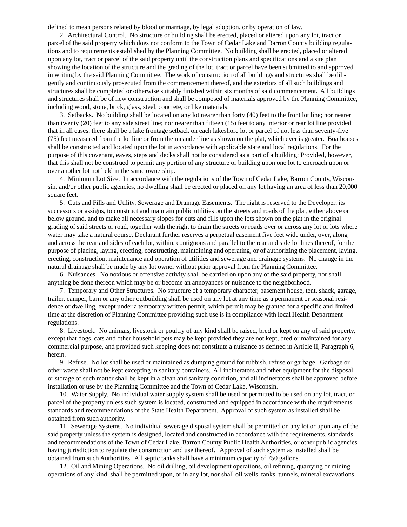defined to mean persons related by blood or marriage, by legal adoption, or by operation of law.

2. Architectural Control. No structure or building shall be erected, placed or altered upon any lot, tract or parcel of the said property which does not conform to the Town of Cedar Lake and Barron County building regulations and to requirements established by the Planning Committee. No building shall be erected, placed or altered upon any lot, tract or parcel of the said property until the construction plans and specifications and a site plan showing the location of the structure and the grading of the lot, tract or parcel have been submitted to and approved in writing by the said Planning Committee. The work of construction of all buildings and structures shall be diligently and continuously prosecuted from the commencement thereof, and the exteriors of all such buildings and structures shall be completed or otherwise suitably finished within six months of said commencement. All buildings and structures shall be of new construction and shall be composed of materials approved by the Planning Committee, including wood, stone, brick, glass, steel, concrete, or like materials.

3. Setbacks. No building shall be located on any lot nearer than forty (40) feet to the front lot line; nor nearer than twenty (20) feet to any side street line; nor nearer than fifteen (15) feet to any interior or rear lot line provided that in all cases, there shall be a lake frontage setback on each lakeshore lot or parcel of not less than seventy-five (75) feet measured from the lot line or from the meander line as shown on the plat, which ever is greater. Boathouses shall be constructed and located upon the lot in accordance with applicable state and local regulations. For the purpose of this covenant, eaves, steps and decks shall not be considered as a part of a building; Provided, however, that this shall not be construed to permit any portion of any structure or building upon one lot to encroach upon or over another lot not held in the same ownership.

4. Minimum Lot Size. In accordance with the regulations of the Town of Cedar Lake, Barron County, Wisconsin, and/or other public agencies, no dwelling shall be erected or placed on any lot having an area of less than 20,000 square feet.

5. Cuts and Fills and Utility, Sewerage and Drainage Easements. The right is reserved to the Developer, its successors or assigns, to construct and maintain public utilities on the streets and roads of the plat, either above or below ground, and to make all necessary slopes for cuts and fills upon the lots shown on the plat in the original grading of said streets or road, together with the right to drain the streets or roads over or across any lot or lots where water may take a natural course. Declarant further reserves a perpetual easement five feet wide under, over, along and across the rear and sides of each lot, within, contiguous and parallel to the rear and side lot lines thereof, for the purpose of placing, laying, erecting, constructing, maintaining and operating, or of authorizing the placement, laying, erecting, construction, maintenance and operation of utilities and sewerage and drainage systems. No change in the natural drainage shall be made by any lot owner without prior approval from the Planning Committee.

6. Nuisances. No noxious or offensive activity shall be carried on upon any of the said property, nor shall anything be done thereon which may be or become an annoyances or nuisance to the neighborhood.

7. Temporary and Other Structures. No structure of a temporary character, basement house, tent, shack, garage, trailer, camper, barn or any other outbuilding shall be used on any lot at any time as a permanent or seasonal residence or dwelling, except under a temporary written permit, which permit may be granted for a specific and limited time at the discretion of Planning Committee providing such use is in compliance with local Health Department regulations.

8. Livestock. No animals, livestock or poultry of any kind shall be raised, bred or kept on any of said property, except that dogs, cats and other household pets may be kept provided they are not kept, bred or maintained for any commercial purpose, and provided such keeping does not constitute a nuisance as defined in Article II, Paragraph 6, herein.

9. Refuse. No lot shall be used or maintained as dumping ground for rubbish, refuse or garbage. Garbage or other waste shall not be kept excepting in sanitary containers. All incinerators and other equipment for the disposal or storage of such matter shall be kept in a clean and sanitary condition, and all incinerators shall be approved before installation or use by the Planning Committee and the Town of Cedar Lake, Wisconsin.

10. Water Supply. No individual water supply system shall be used or permitted to be used on any lot, tract, or parcel of the property unless such system is located, constructed and equipped in accordance with the requirements, standards and recommendations of the State Health Department. Approval of such system as installed shall be obtained from such authority.

11. Sewerage Systems. No individual sewerage disposal system shall be permitted on any lot or upon any of the said property unless the system is designed, located and constructed in accordance with the requirements, standards and recommendations of the Town of Cedar Lake, Barron County Public Health Authorities, or other public agencies having jurisdiction to regulate the construction and use thereof. Approval of such system as installed shall be obtained from such Authorities. All septic tanks shall have a minimum capacity of 750 gallons.

12. Oil and Mining Operations. No oil drilling, oil development operations, oil refining, quarrying or mining operations of any kind, shall be permitted upon, or in any lot, nor shall oil wells, tanks, tunnels, mineral excavations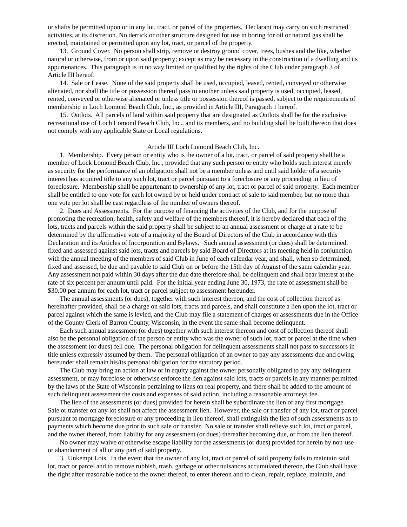or shafts be permitted upon or in any lot, tract, or parcel of the properties. Declarant may carry on such restricted activities, at its discretion. No derrick or other structure designed for use in boring for oil or natural gas shall be erected, maintained or permitted upon any lot, tract, or parcel of the property.

13. Ground Cover. No person shall strip, remove or destroy ground cover, trees, bushes and the like, whether natural or otherwise, from or upon said property; except as may be necessary in the construction of a dwelling and its appurtenances. This paragraph is in no way limited or qualified by the rights of the Club under paragraph 3 of Article III hereof.

14. Sale or Lease. None of the said property shall be used, occupied, leased, rented, conveyed or otherwise alienated, nor shall the title or possession thereof pass to another unless said property is used, occupied, leased, rented, conveyed or otherwise alienated or unless title or possession thereof is passed, subject to the requirements of membership in Loch Lomond Beach Club, Inc., as provided in Article III, Paragraph 1 hereof.

15. Outlots. All parcels of land within said property that are designated as Outlots shall be for the exclusive recreational use of Loch Lomond Beach Club, Inc., and its members, and no building shall be built thereon that does not comply with any applicable State or Local regulations.

## Article III Loch Lomond Beach Club, Inc.

1. Membership. Every person or entity who is the owner of a lot, tract, or parcel of said property shall be a member of Lock Lomond Beach Club, Inc., provided that any such person or entity who holds such interest merely as security for the performance of an obligation shall not be a member unless and until said holder of a security interest has acquired title to any such lot, tract or parcel pursuant to a foreclosure or any proceeding in lieu of foreclosure. Membership shall be appurtenant to ownership of any lot, tract or parcel of said property. Each member shall be entitled to one vote for each lot owned by or held under contract of sale to said member, but no more than one vote per lot shall be cast regardless of the number of owners thereof.

2. Dues and Assessments. For the purpose of financing the activities of the Club, and for the purpose of promoting the recreation, health, safety and welfare of the members thereof, it is hereby declared that each of the lots, tracts and parcels within the said property shall be subject to an annual assessment or charge at a rate to be determined by the affirmative vote of a majority of the Board of Directors of the Club in accordance with this Declaration and its Articles of Incorporation and Bylaws. Such annual assessment (or dues) shall be determined, fixed and assessed against said lots, tracts and parcels by said Board of Directors at its meeting held in conjunction with the annual meeting of the members of said Club in June of each calendar year, and shall, when so determined, fixed and assessed, be due and payable to said Club on or before the 15th day of August of the same calendar year. Any assessment not paid within 30 days after the due date therefore shall be delinquent and shall bear interest at the rate of six percent per annum until paid. For the initial year ending June 30, 1973, the rate of assessment shall be \$30.00 per annum for each lot, tract or parcel subject to assessment hereunder.

The annual assessments (or dues), together with such interest thereon, and the cost of collection thereof as hereinafter provided, shall be a charge on said lots, tracts and parcels, and shall constitute a lien upon the lot, tract or parcel against which the same is levied, and the Club may file a statement of charges or assessments due in the Office of the County Clerk of Barron County, Wisconsin, in the event the same shall become delinquent.

Each such annual assessment (or dues) together with such interest thereon and cost of collection thereof shall also be the personal obligation of the person or entity who was the owner of such lot, tract or parcel at the time when the assessment (or dues) fell due. The personal obligation for delinquent assessments shall not pass to successors in title unless expressly assumed by them. The personal obligation of an owner to pay any assessments due and owing hereunder shall remain his/its personal obligation for the statutory period.

The Club may bring an action at law or in equity against the owner personally obligated to pay any delinquent assessment, or may foreclose or otherwise enforce the lien against said lots, tracts or parcels in any manner permitted by the laws of the State of Wisconsin pertaining to liens on real property, and there shall be added to the amount of such delinquent assessment the costs and expenses of said action, including a reasonable attorneys fee.

The lien of the assessments (or dues) provided for herein shall be subordinate the lien of any first mortgage. Sale or transfer on any lot shall not affect the assessment lien. However, the sale or transfer of any lot, tract or parcel pursuant to mortgage foreclosure or any proceeding in lieu thereof, shall extinguish the lien of such assessments as to payments which become due prior to such sale or transfer. No sale or transfer shall relieve such lot, tract or parcel, and the owner thereof, from liability for any assessment (or dues) thereafter becoming due, or from the lien thereof.

No owner may waive or otherwise escape liability for the assessments (or dues) provided for herein by non-use or abandonment of all or any part of said property.

3. Unkempt Lots. In the event that the owner of any lot, tract or parcel of said property fails to maintain said lot, tract or parcel and to remove rubbish, trash, garbage or other nuisances accumulated thereon, the Club shall have the right after reasonable notice to the owner thereof, to enter thereon and to clean, repair, replace, maintain, and